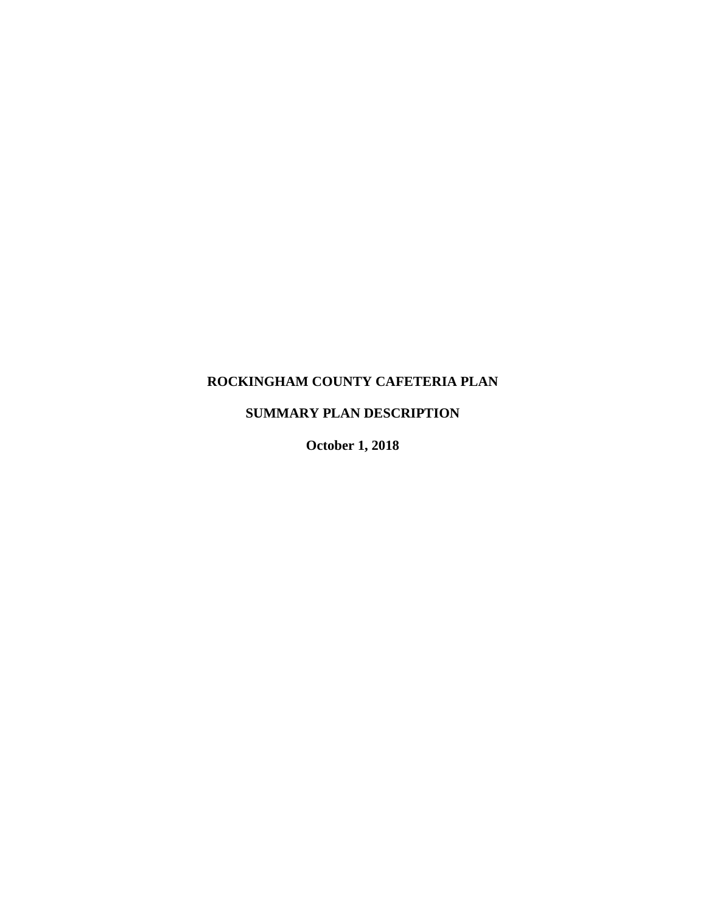# **ROCKINGHAM COUNTY CAFETERIA PLAN**

# **SUMMARY PLAN DESCRIPTION**

**October 1, 2018**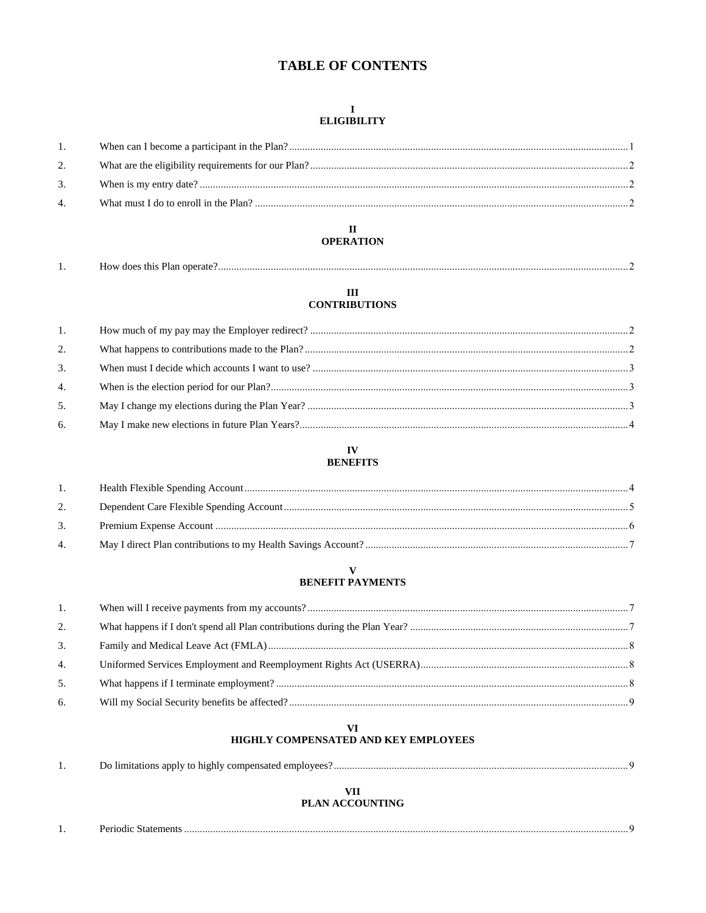# **TABLE OF CONTENTS**

#### $\mathbf I$ **ELIGIBILITY**

| 2. |  |
|----|--|
| 3. |  |
| 4. |  |
|    |  |

#### $\mathbf{I}$ **OPERATION**

| . . | operate<br>. does<br>ums<br>тан |  |
|-----|---------------------------------|--|
|-----|---------------------------------|--|

#### $\rm III$ **CONTRIBUTIONS**

| 1. |  |
|----|--|
| 2. |  |
| 3. |  |
| 4. |  |
| 5. |  |
| 6. |  |

#### ${\bf IV}$ **BENEFITS**

#### $\overline{1}$ .  $2.$ 3.  $4.$

#### $\overline{\mathbf{V}}$ **BENEFIT PAYMENTS**

| 1. |  |
|----|--|
| 2. |  |
| 3. |  |
| 4. |  |
| 5. |  |
| 6. |  |

#### **VI** HIGHLY COMPENSATED AND KEY EMPLOYEES

|     | <b>Example 15 and 15 and 15 and 15 and 15 and 16 and 16 and 16 and 16 and 16 and 16 and 16 and 16 and 16 and 16 and 16 and 16 and 16 and 16 and 16 and 16 and 16 and 16 and 16 and 16 and 16 and 16 and 16 and 16 and 16 and 16 </b><br>Do limitations apply to 1 |
|-----|-------------------------------------------------------------------------------------------------------------------------------------------------------------------------------------------------------------------------------------------------------------------|
| . . | .                                                                                                                                                                                                                                                                 |

# **VII**

# **PLAN ACCOUNTING**

|     | Periodic<br>Statements |  |
|-----|------------------------|--|
| . . |                        |  |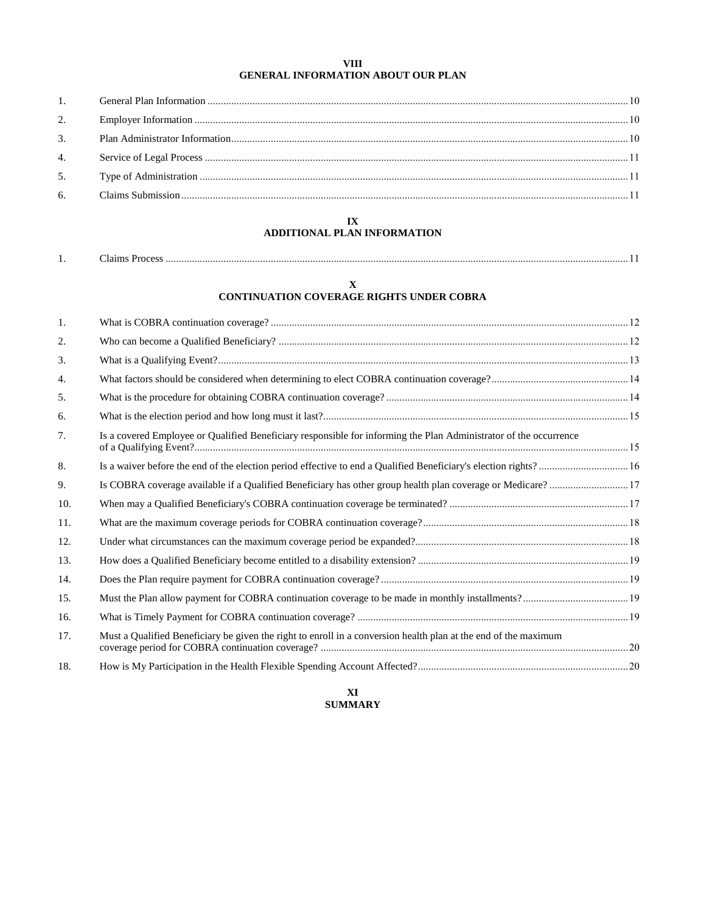#### **VIII GENERAL INFORMATION ABOUT OUR PLAN**

| 2. |  |
|----|--|
|    |  |
|    |  |
|    |  |
|    |  |

#### **IX ADDITIONAL PLAN INFORMATION**

| . . | $00e^{\alpha}$<br>тяттік |  |
|-----|--------------------------|--|
|-----|--------------------------|--|

#### **X**

# **CONTINUATION COVERAGE RIGHTS UNDER COBRA**

| 1.  |                                                                                                                   |  |
|-----|-------------------------------------------------------------------------------------------------------------------|--|
| 2.  |                                                                                                                   |  |
| 3.  |                                                                                                                   |  |
| 4.  |                                                                                                                   |  |
| 5.  |                                                                                                                   |  |
| 6.  |                                                                                                                   |  |
| 7.  | Is a covered Employee or Qualified Beneficiary responsible for informing the Plan Administrator of the occurrence |  |
| 8.  |                                                                                                                   |  |
| 9.  | Is COBRA coverage available if a Qualified Beneficiary has other group health plan coverage or Medicare? 17       |  |
| 10. |                                                                                                                   |  |
| 11. |                                                                                                                   |  |
| 12. |                                                                                                                   |  |
| 13. |                                                                                                                   |  |
| 14. |                                                                                                                   |  |
| 15. |                                                                                                                   |  |
| 16. |                                                                                                                   |  |
| 17. | Must a Qualified Beneficiary be given the right to enroll in a conversion health plan at the end of the maximum   |  |
| 18. |                                                                                                                   |  |

#### **XI SUMMARY**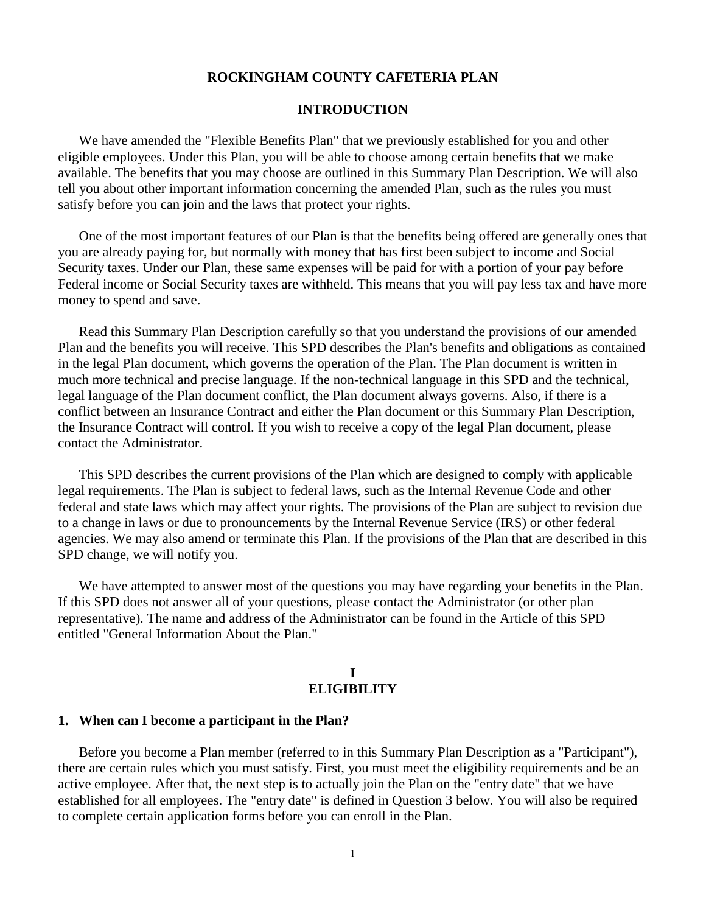# **ROCKINGHAM COUNTY CAFETERIA PLAN**

## **INTRODUCTION**

We have amended the "Flexible Benefits Plan" that we previously established for you and other eligible employees. Under this Plan, you will be able to choose among certain benefits that we make available. The benefits that you may choose are outlined in this Summary Plan Description. We will also tell you about other important information concerning the amended Plan, such as the rules you must satisfy before you can join and the laws that protect your rights.

One of the most important features of our Plan is that the benefits being offered are generally ones that you are already paying for, but normally with money that has first been subject to income and Social Security taxes. Under our Plan, these same expenses will be paid for with a portion of your pay before Federal income or Social Security taxes are withheld. This means that you will pay less tax and have more money to spend and save.

Read this Summary Plan Description carefully so that you understand the provisions of our amended Plan and the benefits you will receive. This SPD describes the Plan's benefits and obligations as contained in the legal Plan document, which governs the operation of the Plan. The Plan document is written in much more technical and precise language. If the non-technical language in this SPD and the technical, legal language of the Plan document conflict, the Plan document always governs. Also, if there is a conflict between an Insurance Contract and either the Plan document or this Summary Plan Description, the Insurance Contract will control. If you wish to receive a copy of the legal Plan document, please contact the Administrator.

This SPD describes the current provisions of the Plan which are designed to comply with applicable legal requirements. The Plan is subject to federal laws, such as the Internal Revenue Code and other federal and state laws which may affect your rights. The provisions of the Plan are subject to revision due to a change in laws or due to pronouncements by the Internal Revenue Service (IRS) or other federal agencies. We may also amend or terminate this Plan. If the provisions of the Plan that are described in this SPD change, we will notify you.

We have attempted to answer most of the questions you may have regarding your benefits in the Plan. If this SPD does not answer all of your questions, please contact the Administrator (or other plan representative). The name and address of the Administrator can be found in the Article of this SPD entitled "General Information About the Plan."

## **I ELIGIBILITY**

#### **1. When can I become a participant in the Plan?**

Before you become a Plan member (referred to in this Summary Plan Description as a "Participant"), there are certain rules which you must satisfy. First, you must meet the eligibility requirements and be an active employee. After that, the next step is to actually join the Plan on the "entry date" that we have established for all employees. The "entry date" is defined in Question 3 below. You will also be required to complete certain application forms before you can enroll in the Plan.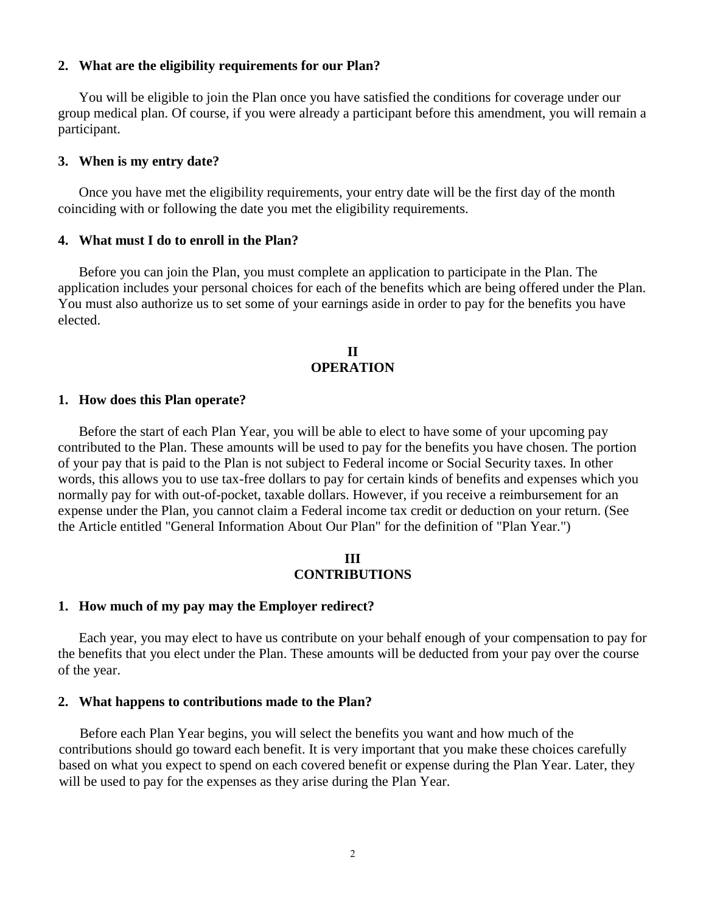### **2. What are the eligibility requirements for our Plan?**

You will be eligible to join the Plan once you have satisfied the conditions for coverage under our group medical plan. Of course, if you were already a participant before this amendment, you will remain a participant.

#### **3. When is my entry date?**

Once you have met the eligibility requirements, your entry date will be the first day of the month coinciding with or following the date you met the eligibility requirements.

#### **4. What must I do to enroll in the Plan?**

Before you can join the Plan, you must complete an application to participate in the Plan. The application includes your personal choices for each of the benefits which are being offered under the Plan. You must also authorize us to set some of your earnings aside in order to pay for the benefits you have elected.

# **II OPERATION**

#### **1. How does this Plan operate?**

Before the start of each Plan Year, you will be able to elect to have some of your upcoming pay contributed to the Plan. These amounts will be used to pay for the benefits you have chosen. The portion of your pay that is paid to the Plan is not subject to Federal income or Social Security taxes. In other words, this allows you to use tax-free dollars to pay for certain kinds of benefits and expenses which you normally pay for with out-of-pocket, taxable dollars. However, if you receive a reimbursement for an expense under the Plan, you cannot claim a Federal income tax credit or deduction on your return. (See the Article entitled "General Information About Our Plan" for the definition of "Plan Year.")

#### **III CONTRIBUTIONS**

#### **1. How much of my pay may the Employer redirect?**

Each year, you may elect to have us contribute on your behalf enough of your compensation to pay for the benefits that you elect under the Plan. These amounts will be deducted from your pay over the course of the year.

#### **2. What happens to contributions made to the Plan?**

Before each Plan Year begins, you will select the benefits you want and how much of the contributions should go toward each benefit. It is very important that you make these choices carefully based on what you expect to spend on each covered benefit or expense during the Plan Year. Later, they will be used to pay for the expenses as they arise during the Plan Year.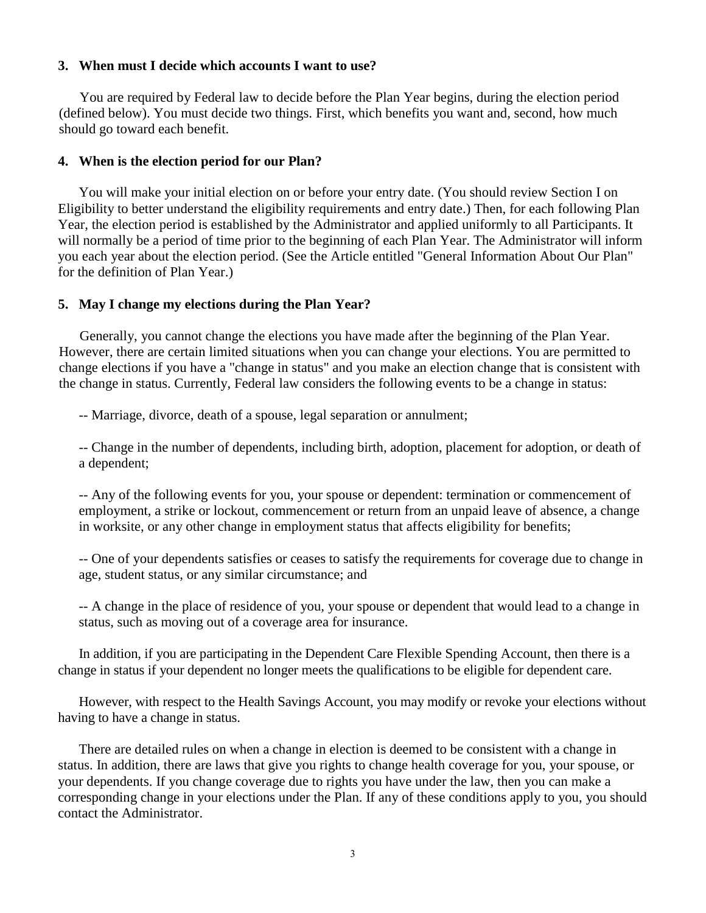# **3. When must I decide which accounts I want to use?**

You are required by Federal law to decide before the Plan Year begins, during the election period (defined below). You must decide two things. First, which benefits you want and, second, how much should go toward each benefit.

# **4. When is the election period for our Plan?**

You will make your initial election on or before your entry date. (You should review Section I on Eligibility to better understand the eligibility requirements and entry date.) Then, for each following Plan Year, the election period is established by the Administrator and applied uniformly to all Participants. It will normally be a period of time prior to the beginning of each Plan Year. The Administrator will inform you each year about the election period. (See the Article entitled "General Information About Our Plan" for the definition of Plan Year.)

### **5. May I change my elections during the Plan Year?**

Generally, you cannot change the elections you have made after the beginning of the Plan Year. However, there are certain limited situations when you can change your elections. You are permitted to change elections if you have a "change in status" and you make an election change that is consistent with the change in status. Currently, Federal law considers the following events to be a change in status:

-- Marriage, divorce, death of a spouse, legal separation or annulment;

-- Change in the number of dependents, including birth, adoption, placement for adoption, or death of a dependent;

-- Any of the following events for you, your spouse or dependent: termination or commencement of employment, a strike or lockout, commencement or return from an unpaid leave of absence, a change in worksite, or any other change in employment status that affects eligibility for benefits;

-- One of your dependents satisfies or ceases to satisfy the requirements for coverage due to change in age, student status, or any similar circumstance; and

-- A change in the place of residence of you, your spouse or dependent that would lead to a change in status, such as moving out of a coverage area for insurance.

In addition, if you are participating in the Dependent Care Flexible Spending Account, then there is a change in status if your dependent no longer meets the qualifications to be eligible for dependent care.

However, with respect to the Health Savings Account, you may modify or revoke your elections without having to have a change in status.

There are detailed rules on when a change in election is deemed to be consistent with a change in status. In addition, there are laws that give you rights to change health coverage for you, your spouse, or your dependents. If you change coverage due to rights you have under the law, then you can make a corresponding change in your elections under the Plan. If any of these conditions apply to you, you should contact the Administrator.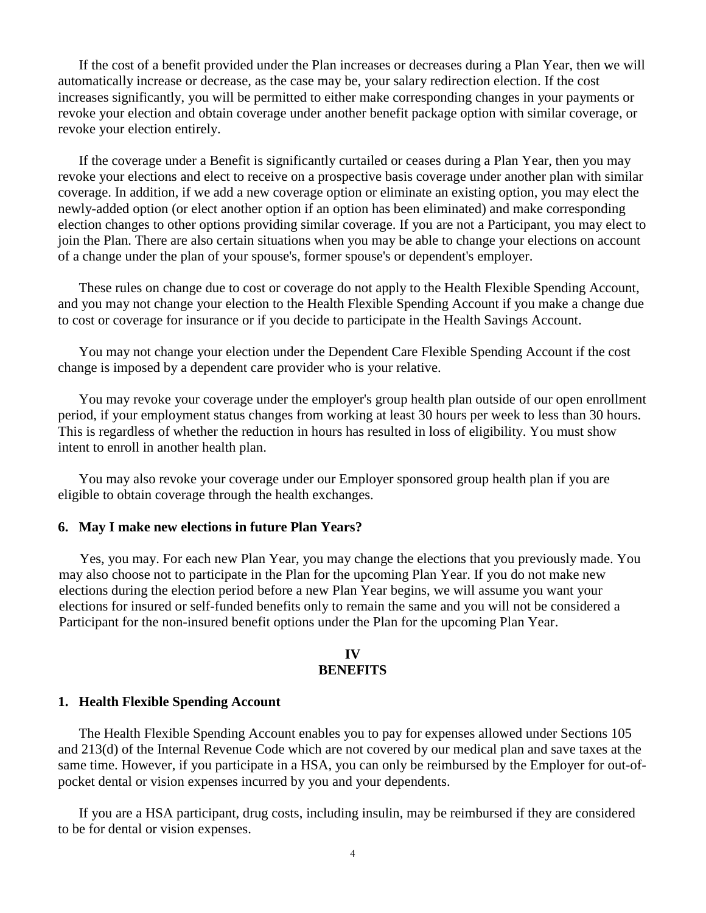If the cost of a benefit provided under the Plan increases or decreases during a Plan Year, then we will automatically increase or decrease, as the case may be, your salary redirection election. If the cost increases significantly, you will be permitted to either make corresponding changes in your payments or revoke your election and obtain coverage under another benefit package option with similar coverage, or revoke your election entirely.

If the coverage under a Benefit is significantly curtailed or ceases during a Plan Year, then you may revoke your elections and elect to receive on a prospective basis coverage under another plan with similar coverage. In addition, if we add a new coverage option or eliminate an existing option, you may elect the newly-added option (or elect another option if an option has been eliminated) and make corresponding election changes to other options providing similar coverage. If you are not a Participant, you may elect to join the Plan. There are also certain situations when you may be able to change your elections on account of a change under the plan of your spouse's, former spouse's or dependent's employer.

These rules on change due to cost or coverage do not apply to the Health Flexible Spending Account, and you may not change your election to the Health Flexible Spending Account if you make a change due to cost or coverage for insurance or if you decide to participate in the Health Savings Account.

You may not change your election under the Dependent Care Flexible Spending Account if the cost change is imposed by a dependent care provider who is your relative.

You may revoke your coverage under the employer's group health plan outside of our open enrollment period, if your employment status changes from working at least 30 hours per week to less than 30 hours. This is regardless of whether the reduction in hours has resulted in loss of eligibility. You must show intent to enroll in another health plan.

You may also revoke your coverage under our Employer sponsored group health plan if you are eligible to obtain coverage through the health exchanges.

### **6. May I make new elections in future Plan Years?**

Yes, you may. For each new Plan Year, you may change the elections that you previously made. You may also choose not to participate in the Plan for the upcoming Plan Year. If you do not make new elections during the election period before a new Plan Year begins, we will assume you want your elections for insured or self-funded benefits only to remain the same and you will not be considered a Participant for the non-insured benefit options under the Plan for the upcoming Plan Year.

#### **IV BENEFITS**

#### **1. Health Flexible Spending Account**

The Health Flexible Spending Account enables you to pay for expenses allowed under Sections 105 and 213(d) of the Internal Revenue Code which are not covered by our medical plan and save taxes at the same time. However, if you participate in a HSA, you can only be reimbursed by the Employer for out-ofpocket dental or vision expenses incurred by you and your dependents.

If you are a HSA participant, drug costs, including insulin, may be reimbursed if they are considered to be for dental or vision expenses.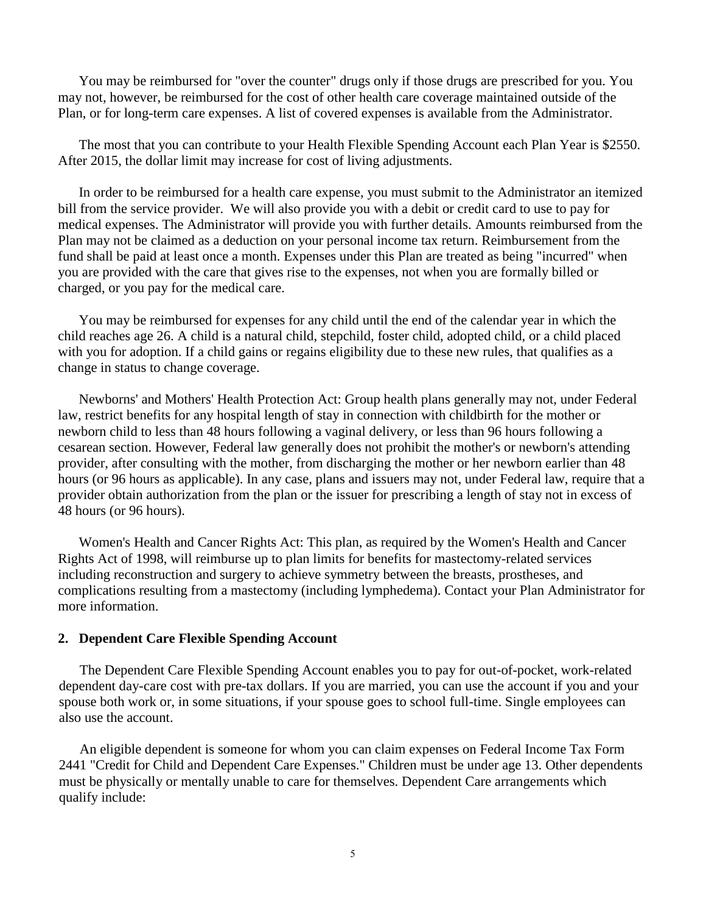You may be reimbursed for "over the counter" drugs only if those drugs are prescribed for you. You may not, however, be reimbursed for the cost of other health care coverage maintained outside of the Plan, or for long-term care expenses. A list of covered expenses is available from the Administrator.

The most that you can contribute to your Health Flexible Spending Account each Plan Year is \$2550. After 2015, the dollar limit may increase for cost of living adjustments.

In order to be reimbursed for a health care expense, you must submit to the Administrator an itemized bill from the service provider. We will also provide you with a debit or credit card to use to pay for medical expenses. The Administrator will provide you with further details. Amounts reimbursed from the Plan may not be claimed as a deduction on your personal income tax return. Reimbursement from the fund shall be paid at least once a month. Expenses under this Plan are treated as being "incurred" when you are provided with the care that gives rise to the expenses, not when you are formally billed or charged, or you pay for the medical care.

You may be reimbursed for expenses for any child until the end of the calendar year in which the child reaches age 26. A child is a natural child, stepchild, foster child, adopted child, or a child placed with you for adoption. If a child gains or regains eligibility due to these new rules, that qualifies as a change in status to change coverage.

Newborns' and Mothers' Health Protection Act: Group health plans generally may not, under Federal law, restrict benefits for any hospital length of stay in connection with childbirth for the mother or newborn child to less than 48 hours following a vaginal delivery, or less than 96 hours following a cesarean section. However, Federal law generally does not prohibit the mother's or newborn's attending provider, after consulting with the mother, from discharging the mother or her newborn earlier than 48 hours (or 96 hours as applicable). In any case, plans and issuers may not, under Federal law, require that a provider obtain authorization from the plan or the issuer for prescribing a length of stay not in excess of 48 hours (or 96 hours).

Women's Health and Cancer Rights Act: This plan, as required by the Women's Health and Cancer Rights Act of 1998, will reimburse up to plan limits for benefits for mastectomy-related services including reconstruction and surgery to achieve symmetry between the breasts, prostheses, and complications resulting from a mastectomy (including lymphedema). Contact your Plan Administrator for more information.

#### **2. Dependent Care Flexible Spending Account**

The Dependent Care Flexible Spending Account enables you to pay for out-of-pocket, work-related dependent day-care cost with pre-tax dollars. If you are married, you can use the account if you and your spouse both work or, in some situations, if your spouse goes to school full-time. Single employees can also use the account.

An eligible dependent is someone for whom you can claim expenses on Federal Income Tax Form 2441 "Credit for Child and Dependent Care Expenses." Children must be under age 13. Other dependents must be physically or mentally unable to care for themselves. Dependent Care arrangements which qualify include: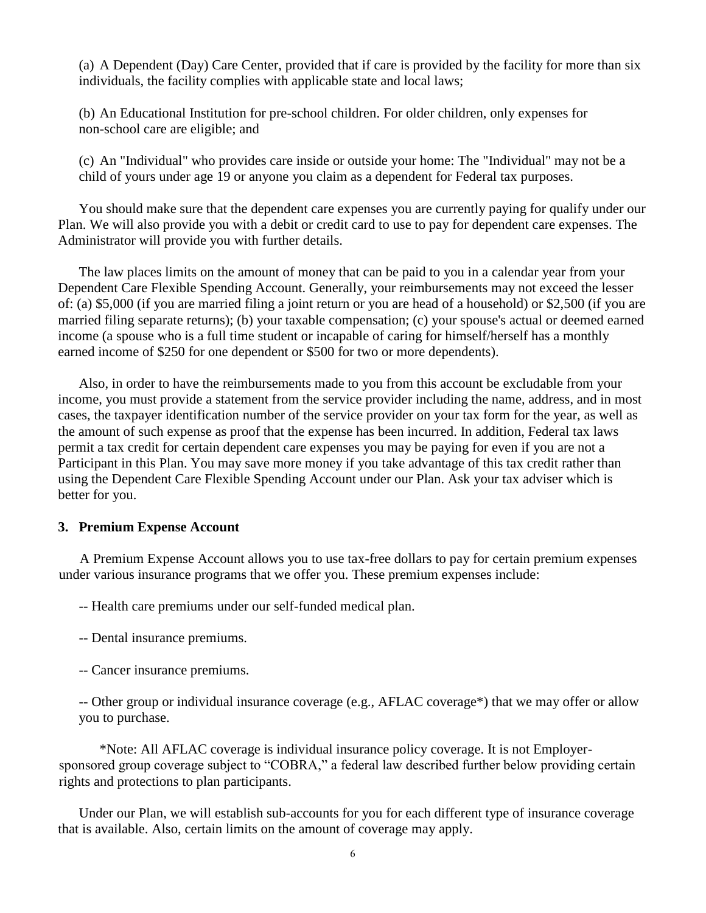(a) A Dependent (Day) Care Center, provided that if care is provided by the facility for more than six individuals, the facility complies with applicable state and local laws;

(b) An Educational Institution for pre-school children. For older children, only expenses for non-school care are eligible; and

(c) An "Individual" who provides care inside or outside your home: The "Individual" may not be a child of yours under age 19 or anyone you claim as a dependent for Federal tax purposes.

You should make sure that the dependent care expenses you are currently paying for qualify under our Plan. We will also provide you with a debit or credit card to use to pay for dependent care expenses. The Administrator will provide you with further details.

The law places limits on the amount of money that can be paid to you in a calendar year from your Dependent Care Flexible Spending Account. Generally, your reimbursements may not exceed the lesser of: (a) \$5,000 (if you are married filing a joint return or you are head of a household) or \$2,500 (if you are married filing separate returns); (b) your taxable compensation; (c) your spouse's actual or deemed earned income (a spouse who is a full time student or incapable of caring for himself/herself has a monthly earned income of \$250 for one dependent or \$500 for two or more dependents).

Also, in order to have the reimbursements made to you from this account be excludable from your income, you must provide a statement from the service provider including the name, address, and in most cases, the taxpayer identification number of the service provider on your tax form for the year, as well as the amount of such expense as proof that the expense has been incurred. In addition, Federal tax laws permit a tax credit for certain dependent care expenses you may be paying for even if you are not a Participant in this Plan. You may save more money if you take advantage of this tax credit rather than using the Dependent Care Flexible Spending Account under our Plan. Ask your tax adviser which is better for you.

#### **3. Premium Expense Account**

A Premium Expense Account allows you to use tax-free dollars to pay for certain premium expenses under various insurance programs that we offer you. These premium expenses include:

-- Health care premiums under our self-funded medical plan.

- -- Dental insurance premiums.
- -- Cancer insurance premiums.

-- Other group or individual insurance coverage (e.g., AFLAC coverage\*) that we may offer or allow you to purchase.

\*Note: All AFLAC coverage is individual insurance policy coverage. It is not Employersponsored group coverage subject to "COBRA," a federal law described further below providing certain rights and protections to plan participants.

Under our Plan, we will establish sub-accounts for you for each different type of insurance coverage that is available. Also, certain limits on the amount of coverage may apply.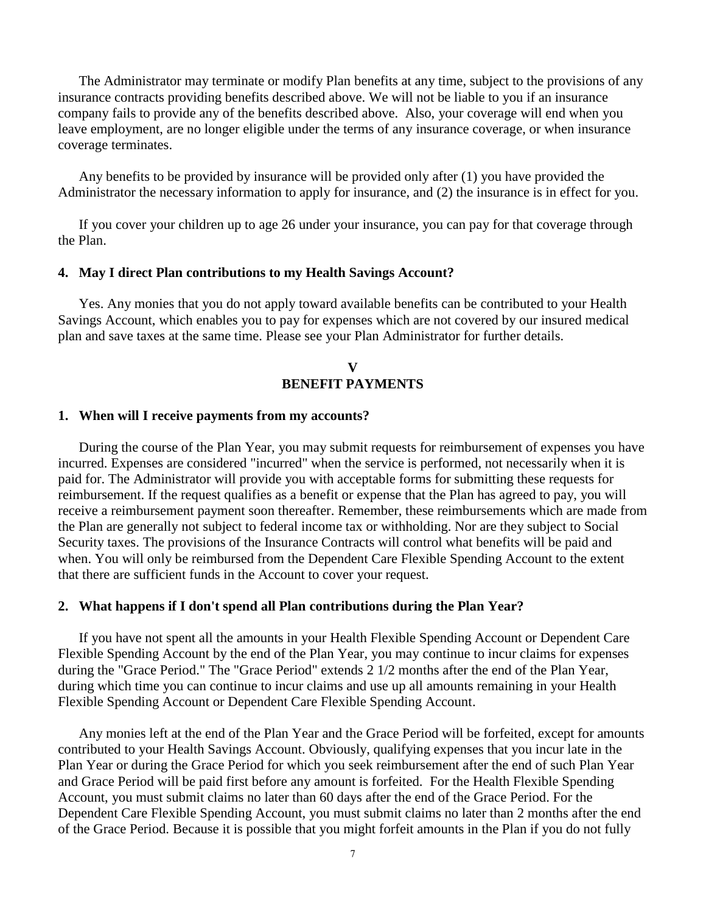The Administrator may terminate or modify Plan benefits at any time, subject to the provisions of any insurance contracts providing benefits described above. We will not be liable to you if an insurance company fails to provide any of the benefits described above. Also, your coverage will end when you leave employment, are no longer eligible under the terms of any insurance coverage, or when insurance coverage terminates.

Any benefits to be provided by insurance will be provided only after (1) you have provided the Administrator the necessary information to apply for insurance, and (2) the insurance is in effect for you.

If you cover your children up to age 26 under your insurance, you can pay for that coverage through the Plan.

### **4. May I direct Plan contributions to my Health Savings Account?**

Yes. Any monies that you do not apply toward available benefits can be contributed to your Health Savings Account, which enables you to pay for expenses which are not covered by our insured medical plan and save taxes at the same time. Please see your Plan Administrator for further details.

# **V BENEFIT PAYMENTS**

## **1. When will I receive payments from my accounts?**

During the course of the Plan Year, you may submit requests for reimbursement of expenses you have incurred. Expenses are considered "incurred" when the service is performed, not necessarily when it is paid for. The Administrator will provide you with acceptable forms for submitting these requests for reimbursement. If the request qualifies as a benefit or expense that the Plan has agreed to pay, you will receive a reimbursement payment soon thereafter. Remember, these reimbursements which are made from the Plan are generally not subject to federal income tax or withholding. Nor are they subject to Social Security taxes. The provisions of the Insurance Contracts will control what benefits will be paid and when. You will only be reimbursed from the Dependent Care Flexible Spending Account to the extent that there are sufficient funds in the Account to cover your request.

#### **2. What happens if I don't spend all Plan contributions during the Plan Year?**

If you have not spent all the amounts in your Health Flexible Spending Account or Dependent Care Flexible Spending Account by the end of the Plan Year, you may continue to incur claims for expenses during the "Grace Period." The "Grace Period" extends 2 1/2 months after the end of the Plan Year, during which time you can continue to incur claims and use up all amounts remaining in your Health Flexible Spending Account or Dependent Care Flexible Spending Account.

Any monies left at the end of the Plan Year and the Grace Period will be forfeited, except for amounts contributed to your Health Savings Account. Obviously, qualifying expenses that you incur late in the Plan Year or during the Grace Period for which you seek reimbursement after the end of such Plan Year and Grace Period will be paid first before any amount is forfeited. For the Health Flexible Spending Account, you must submit claims no later than 60 days after the end of the Grace Period. For the Dependent Care Flexible Spending Account, you must submit claims no later than 2 months after the end of the Grace Period. Because it is possible that you might forfeit amounts in the Plan if you do not fully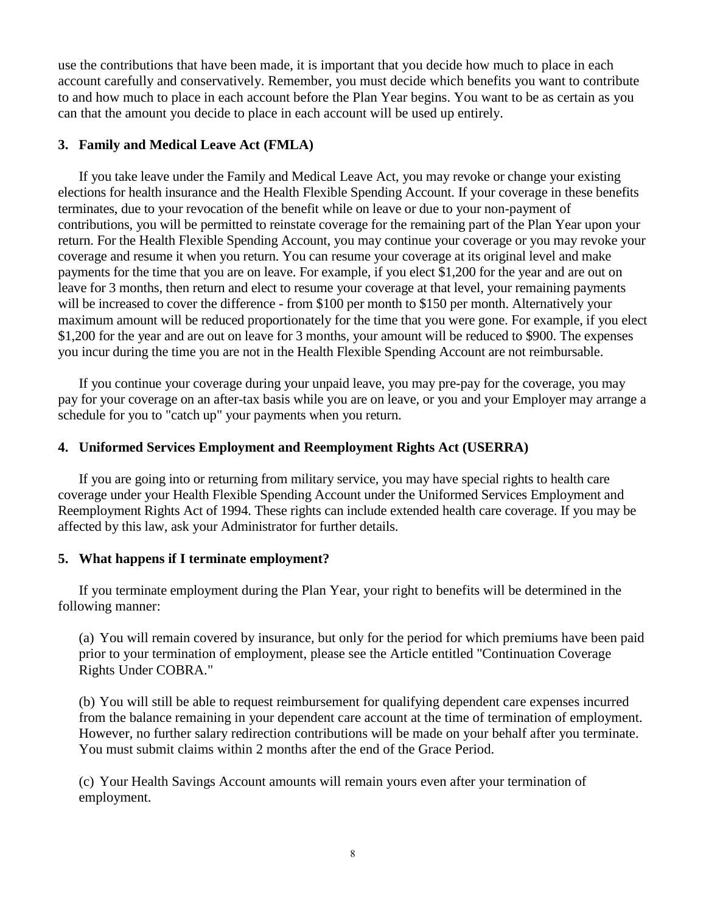use the contributions that have been made, it is important that you decide how much to place in each account carefully and conservatively. Remember, you must decide which benefits you want to contribute to and how much to place in each account before the Plan Year begins. You want to be as certain as you can that the amount you decide to place in each account will be used up entirely.

# **3. Family and Medical Leave Act (FMLA)**

If you take leave under the Family and Medical Leave Act, you may revoke or change your existing elections for health insurance and the Health Flexible Spending Account. If your coverage in these benefits terminates, due to your revocation of the benefit while on leave or due to your non-payment of contributions, you will be permitted to reinstate coverage for the remaining part of the Plan Year upon your return. For the Health Flexible Spending Account, you may continue your coverage or you may revoke your coverage and resume it when you return. You can resume your coverage at its original level and make payments for the time that you are on leave. For example, if you elect \$1,200 for the year and are out on leave for 3 months, then return and elect to resume your coverage at that level, your remaining payments will be increased to cover the difference - from \$100 per month to \$150 per month. Alternatively your maximum amount will be reduced proportionately for the time that you were gone. For example, if you elect \$1,200 for the year and are out on leave for 3 months, your amount will be reduced to \$900. The expenses you incur during the time you are not in the Health Flexible Spending Account are not reimbursable.

If you continue your coverage during your unpaid leave, you may pre-pay for the coverage, you may pay for your coverage on an after-tax basis while you are on leave, or you and your Employer may arrange a schedule for you to "catch up" your payments when you return.

# **4. Uniformed Services Employment and Reemployment Rights Act (USERRA)**

If you are going into or returning from military service, you may have special rights to health care coverage under your Health Flexible Spending Account under the Uniformed Services Employment and Reemployment Rights Act of 1994. These rights can include extended health care coverage. If you may be affected by this law, ask your Administrator for further details.

# **5. What happens if I terminate employment?**

If you terminate employment during the Plan Year, your right to benefits will be determined in the following manner:

(a) You will remain covered by insurance, but only for the period for which premiums have been paid prior to your termination of employment, please see the Article entitled "Continuation Coverage Rights Under COBRA."

(b) You will still be able to request reimbursement for qualifying dependent care expenses incurred from the balance remaining in your dependent care account at the time of termination of employment. However, no further salary redirection contributions will be made on your behalf after you terminate. You must submit claims within 2 months after the end of the Grace Period.

(c) Your Health Savings Account amounts will remain yours even after your termination of employment.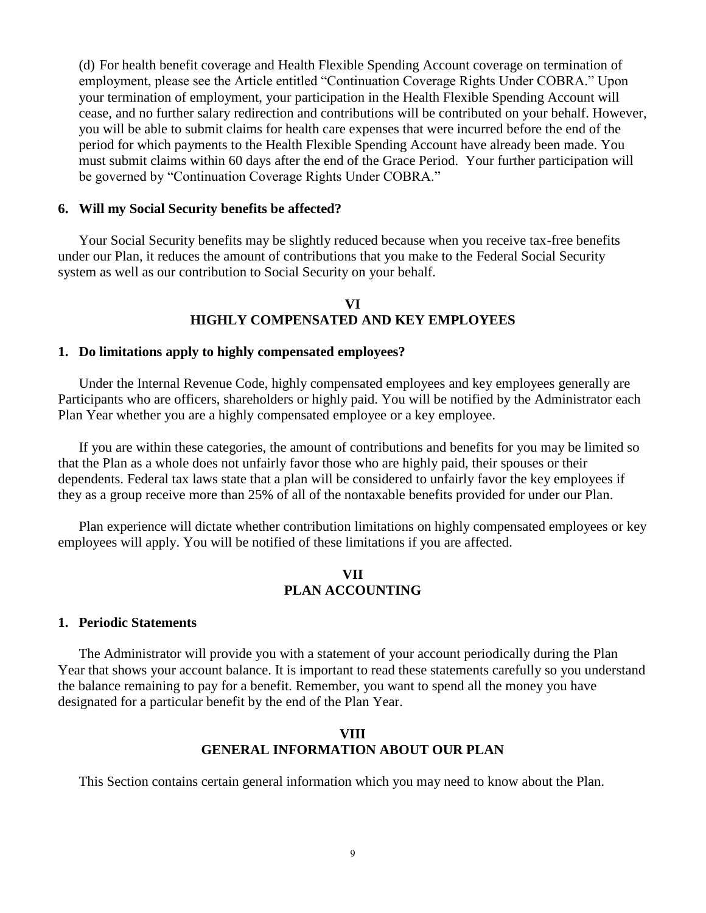(d) For health benefit coverage and Health Flexible Spending Account coverage on termination of employment, please see the Article entitled "Continuation Coverage Rights Under COBRA." Upon your termination of employment, your participation in the Health Flexible Spending Account will cease, and no further salary redirection and contributions will be contributed on your behalf. However, you will be able to submit claims for health care expenses that were incurred before the end of the period for which payments to the Health Flexible Spending Account have already been made. You must submit claims within 60 days after the end of the Grace Period. Your further participation will be governed by "Continuation Coverage Rights Under COBRA."

# **6. Will my Social Security benefits be affected?**

Your Social Security benefits may be slightly reduced because when you receive tax-free benefits under our Plan, it reduces the amount of contributions that you make to the Federal Social Security system as well as our contribution to Social Security on your behalf.

## **VI HIGHLY COMPENSATED AND KEY EMPLOYEES**

### **1. Do limitations apply to highly compensated employees?**

Under the Internal Revenue Code, highly compensated employees and key employees generally are Participants who are officers, shareholders or highly paid. You will be notified by the Administrator each Plan Year whether you are a highly compensated employee or a key employee.

If you are within these categories, the amount of contributions and benefits for you may be limited so that the Plan as a whole does not unfairly favor those who are highly paid, their spouses or their dependents. Federal tax laws state that a plan will be considered to unfairly favor the key employees if they as a group receive more than 25% of all of the nontaxable benefits provided for under our Plan.

Plan experience will dictate whether contribution limitations on highly compensated employees or key employees will apply. You will be notified of these limitations if you are affected.

# **VII PLAN ACCOUNTING**

# **1. Periodic Statements**

The Administrator will provide you with a statement of your account periodically during the Plan Year that shows your account balance. It is important to read these statements carefully so you understand the balance remaining to pay for a benefit. Remember, you want to spend all the money you have designated for a particular benefit by the end of the Plan Year.

# **VIII GENERAL INFORMATION ABOUT OUR PLAN**

This Section contains certain general information which you may need to know about the Plan.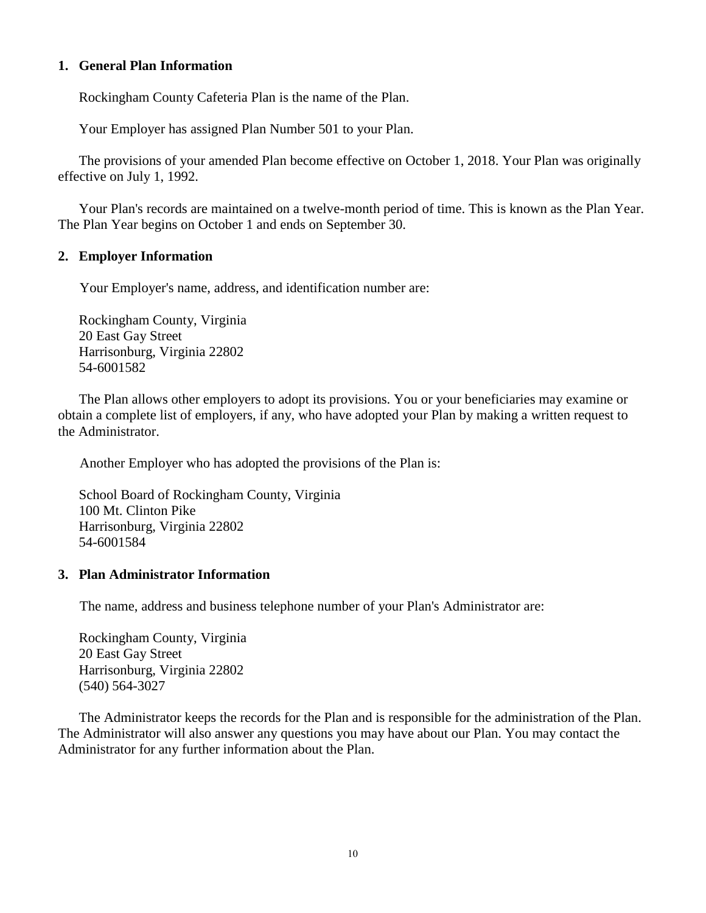# **1. General Plan Information**

Rockingham County Cafeteria Plan is the name of the Plan.

Your Employer has assigned Plan Number 501 to your Plan.

The provisions of your amended Plan become effective on October 1, 2018. Your Plan was originally effective on July 1, 1992.

Your Plan's records are maintained on a twelve-month period of time. This is known as the Plan Year. The Plan Year begins on October 1 and ends on September 30.

# **2. Employer Information**

Your Employer's name, address, and identification number are:

Rockingham County, Virginia 20 East Gay Street Harrisonburg, Virginia 22802 54-6001582

The Plan allows other employers to adopt its provisions. You or your beneficiaries may examine or obtain a complete list of employers, if any, who have adopted your Plan by making a written request to the Administrator.

Another Employer who has adopted the provisions of the Plan is:

School Board of Rockingham County, Virginia 100 Mt. Clinton Pike Harrisonburg, Virginia 22802 54-6001584

### **3. Plan Administrator Information**

The name, address and business telephone number of your Plan's Administrator are:

Rockingham County, Virginia 20 East Gay Street Harrisonburg, Virginia 22802 (540) 564-3027

The Administrator keeps the records for the Plan and is responsible for the administration of the Plan. The Administrator will also answer any questions you may have about our Plan. You may contact the Administrator for any further information about the Plan.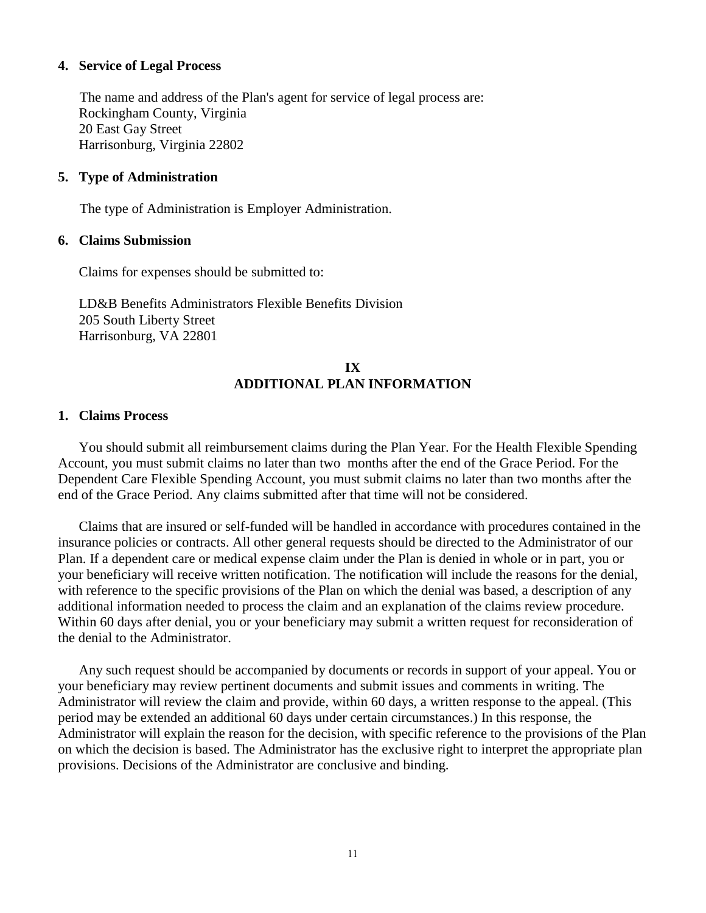## **4. Service of Legal Process**

The name and address of the Plan's agent for service of legal process are: Rockingham County, Virginia 20 East Gay Street Harrisonburg, Virginia 22802

# **5. Type of Administration**

The type of Administration is Employer Administration.

### **6. Claims Submission**

Claims for expenses should be submitted to:

LD&B Benefits Administrators Flexible Benefits Division 205 South Liberty Street Harrisonburg, VA 22801

# **IX ADDITIONAL PLAN INFORMATION**

# **1. Claims Process**

You should submit all reimbursement claims during the Plan Year. For the Health Flexible Spending Account, you must submit claims no later than two months after the end of the Grace Period. For the Dependent Care Flexible Spending Account, you must submit claims no later than two months after the end of the Grace Period. Any claims submitted after that time will not be considered.

Claims that are insured or self-funded will be handled in accordance with procedures contained in the insurance policies or contracts. All other general requests should be directed to the Administrator of our Plan. If a dependent care or medical expense claim under the Plan is denied in whole or in part, you or your beneficiary will receive written notification. The notification will include the reasons for the denial, with reference to the specific provisions of the Plan on which the denial was based, a description of any additional information needed to process the claim and an explanation of the claims review procedure. Within 60 days after denial, you or your beneficiary may submit a written request for reconsideration of the denial to the Administrator.

Any such request should be accompanied by documents or records in support of your appeal. You or your beneficiary may review pertinent documents and submit issues and comments in writing. The Administrator will review the claim and provide, within 60 days, a written response to the appeal. (This period may be extended an additional 60 days under certain circumstances.) In this response, the Administrator will explain the reason for the decision, with specific reference to the provisions of the Plan on which the decision is based. The Administrator has the exclusive right to interpret the appropriate plan provisions. Decisions of the Administrator are conclusive and binding.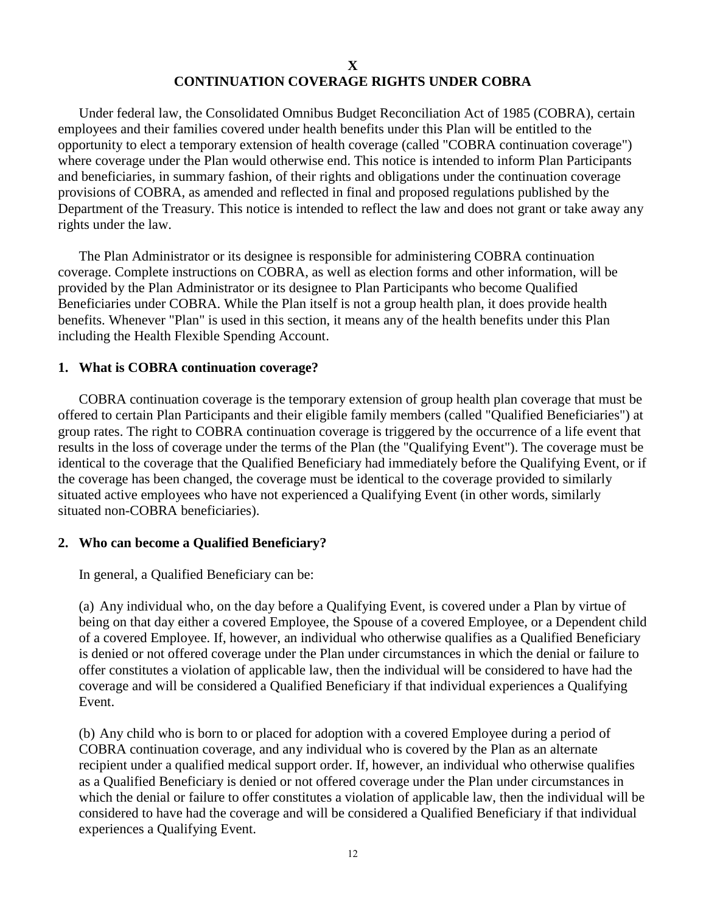# **X CONTINUATION COVERAGE RIGHTS UNDER COBRA**

Under federal law, the Consolidated Omnibus Budget Reconciliation Act of 1985 (COBRA), certain employees and their families covered under health benefits under this Plan will be entitled to the opportunity to elect a temporary extension of health coverage (called "COBRA continuation coverage") where coverage under the Plan would otherwise end. This notice is intended to inform Plan Participants and beneficiaries, in summary fashion, of their rights and obligations under the continuation coverage provisions of COBRA, as amended and reflected in final and proposed regulations published by the Department of the Treasury. This notice is intended to reflect the law and does not grant or take away any rights under the law.

The Plan Administrator or its designee is responsible for administering COBRA continuation coverage. Complete instructions on COBRA, as well as election forms and other information, will be provided by the Plan Administrator or its designee to Plan Participants who become Qualified Beneficiaries under COBRA. While the Plan itself is not a group health plan, it does provide health benefits. Whenever "Plan" is used in this section, it means any of the health benefits under this Plan including the Health Flexible Spending Account.

# **1. What is COBRA continuation coverage?**

COBRA continuation coverage is the temporary extension of group health plan coverage that must be offered to certain Plan Participants and their eligible family members (called "Qualified Beneficiaries") at group rates. The right to COBRA continuation coverage is triggered by the occurrence of a life event that results in the loss of coverage under the terms of the Plan (the "Qualifying Event"). The coverage must be identical to the coverage that the Qualified Beneficiary had immediately before the Qualifying Event, or if the coverage has been changed, the coverage must be identical to the coverage provided to similarly situated active employees who have not experienced a Qualifying Event (in other words, similarly situated non-COBRA beneficiaries).

### **2. Who can become a Qualified Beneficiary?**

In general, a Qualified Beneficiary can be:

(a) Any individual who, on the day before a Qualifying Event, is covered under a Plan by virtue of being on that day either a covered Employee, the Spouse of a covered Employee, or a Dependent child of a covered Employee. If, however, an individual who otherwise qualifies as a Qualified Beneficiary is denied or not offered coverage under the Plan under circumstances in which the denial or failure to offer constitutes a violation of applicable law, then the individual will be considered to have had the coverage and will be considered a Qualified Beneficiary if that individual experiences a Qualifying Event.

(b) Any child who is born to or placed for adoption with a covered Employee during a period of COBRA continuation coverage, and any individual who is covered by the Plan as an alternate recipient under a qualified medical support order. If, however, an individual who otherwise qualifies as a Qualified Beneficiary is denied or not offered coverage under the Plan under circumstances in which the denial or failure to offer constitutes a violation of applicable law, then the individual will be considered to have had the coverage and will be considered a Qualified Beneficiary if that individual experiences a Qualifying Event.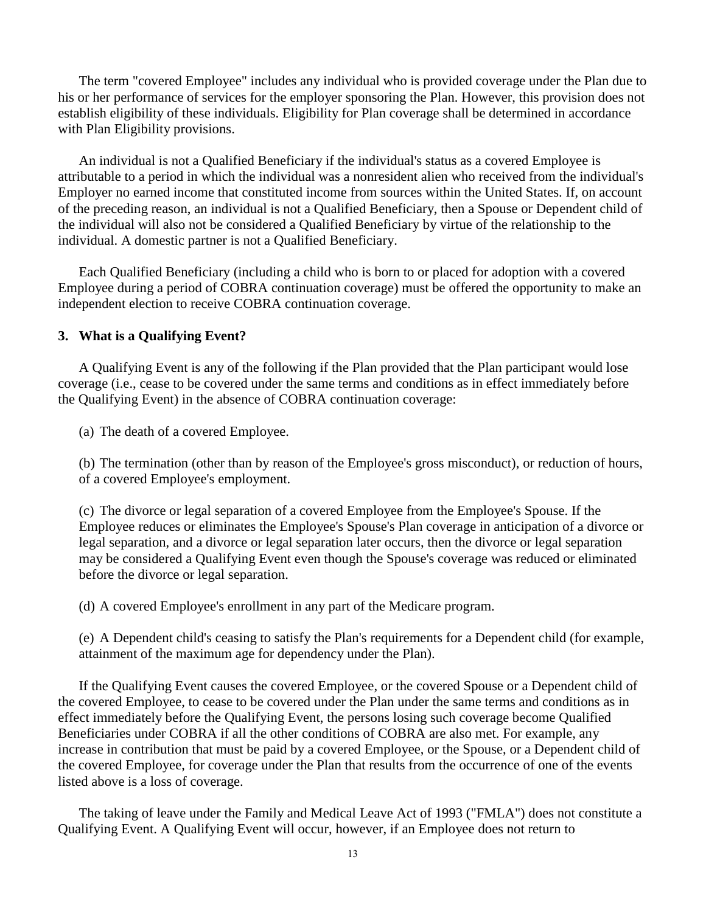The term "covered Employee" includes any individual who is provided coverage under the Plan due to his or her performance of services for the employer sponsoring the Plan. However, this provision does not establish eligibility of these individuals. Eligibility for Plan coverage shall be determined in accordance with Plan Eligibility provisions.

An individual is not a Qualified Beneficiary if the individual's status as a covered Employee is attributable to a period in which the individual was a nonresident alien who received from the individual's Employer no earned income that constituted income from sources within the United States. If, on account of the preceding reason, an individual is not a Qualified Beneficiary, then a Spouse or Dependent child of the individual will also not be considered a Qualified Beneficiary by virtue of the relationship to the individual. A domestic partner is not a Qualified Beneficiary.

Each Qualified Beneficiary (including a child who is born to or placed for adoption with a covered Employee during a period of COBRA continuation coverage) must be offered the opportunity to make an independent election to receive COBRA continuation coverage.

# **3. What is a Qualifying Event?**

A Qualifying Event is any of the following if the Plan provided that the Plan participant would lose coverage (i.e., cease to be covered under the same terms and conditions as in effect immediately before the Qualifying Event) in the absence of COBRA continuation coverage:

(a) The death of a covered Employee.

(b) The termination (other than by reason of the Employee's gross misconduct), or reduction of hours, of a covered Employee's employment.

(c) The divorce or legal separation of a covered Employee from the Employee's Spouse. If the Employee reduces or eliminates the Employee's Spouse's Plan coverage in anticipation of a divorce or legal separation, and a divorce or legal separation later occurs, then the divorce or legal separation may be considered a Qualifying Event even though the Spouse's coverage was reduced or eliminated before the divorce or legal separation.

(d) A covered Employee's enrollment in any part of the Medicare program.

(e) A Dependent child's ceasing to satisfy the Plan's requirements for a Dependent child (for example, attainment of the maximum age for dependency under the Plan).

If the Qualifying Event causes the covered Employee, or the covered Spouse or a Dependent child of the covered Employee, to cease to be covered under the Plan under the same terms and conditions as in effect immediately before the Qualifying Event, the persons losing such coverage become Qualified Beneficiaries under COBRA if all the other conditions of COBRA are also met. For example, any increase in contribution that must be paid by a covered Employee, or the Spouse, or a Dependent child of the covered Employee, for coverage under the Plan that results from the occurrence of one of the events listed above is a loss of coverage.

The taking of leave under the Family and Medical Leave Act of 1993 ("FMLA") does not constitute a Qualifying Event. A Qualifying Event will occur, however, if an Employee does not return to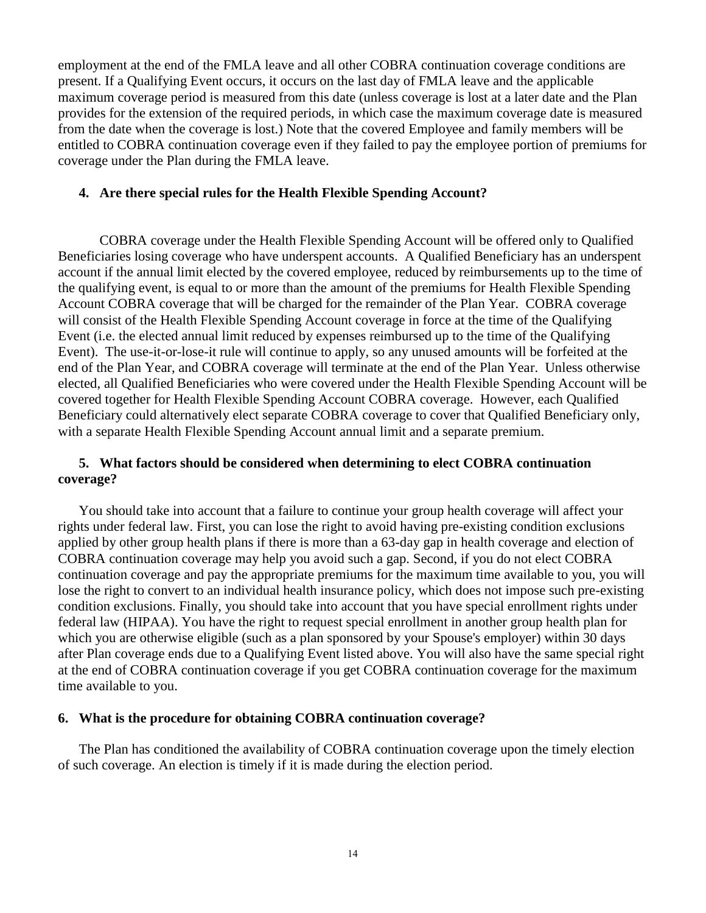employment at the end of the FMLA leave and all other COBRA continuation coverage conditions are present. If a Qualifying Event occurs, it occurs on the last day of FMLA leave and the applicable maximum coverage period is measured from this date (unless coverage is lost at a later date and the Plan provides for the extension of the required periods, in which case the maximum coverage date is measured from the date when the coverage is lost.) Note that the covered Employee and family members will be entitled to COBRA continuation coverage even if they failed to pay the employee portion of premiums for coverage under the Plan during the FMLA leave.

# **4. Are there special rules for the Health Flexible Spending Account?**

COBRA coverage under the Health Flexible Spending Account will be offered only to Qualified Beneficiaries losing coverage who have underspent accounts. A Qualified Beneficiary has an underspent account if the annual limit elected by the covered employee, reduced by reimbursements up to the time of the qualifying event, is equal to or more than the amount of the premiums for Health Flexible Spending Account COBRA coverage that will be charged for the remainder of the Plan Year. COBRA coverage will consist of the Health Flexible Spending Account coverage in force at the time of the Qualifying Event (i.e. the elected annual limit reduced by expenses reimbursed up to the time of the Qualifying Event). The use-it-or-lose-it rule will continue to apply, so any unused amounts will be forfeited at the end of the Plan Year, and COBRA coverage will terminate at the end of the Plan Year. Unless otherwise elected, all Qualified Beneficiaries who were covered under the Health Flexible Spending Account will be covered together for Health Flexible Spending Account COBRA coverage. However, each Qualified Beneficiary could alternatively elect separate COBRA coverage to cover that Qualified Beneficiary only, with a separate Health Flexible Spending Account annual limit and a separate premium.

# **5. What factors should be considered when determining to elect COBRA continuation coverage?**

You should take into account that a failure to continue your group health coverage will affect your rights under federal law. First, you can lose the right to avoid having pre-existing condition exclusions applied by other group health plans if there is more than a 63-day gap in health coverage and election of COBRA continuation coverage may help you avoid such a gap. Second, if you do not elect COBRA continuation coverage and pay the appropriate premiums for the maximum time available to you, you will lose the right to convert to an individual health insurance policy, which does not impose such pre-existing condition exclusions. Finally, you should take into account that you have special enrollment rights under federal law (HIPAA). You have the right to request special enrollment in another group health plan for which you are otherwise eligible (such as a plan sponsored by your Spouse's employer) within 30 days after Plan coverage ends due to a Qualifying Event listed above. You will also have the same special right at the end of COBRA continuation coverage if you get COBRA continuation coverage for the maximum time available to you.

# **6. What is the procedure for obtaining COBRA continuation coverage?**

The Plan has conditioned the availability of COBRA continuation coverage upon the timely election of such coverage. An election is timely if it is made during the election period.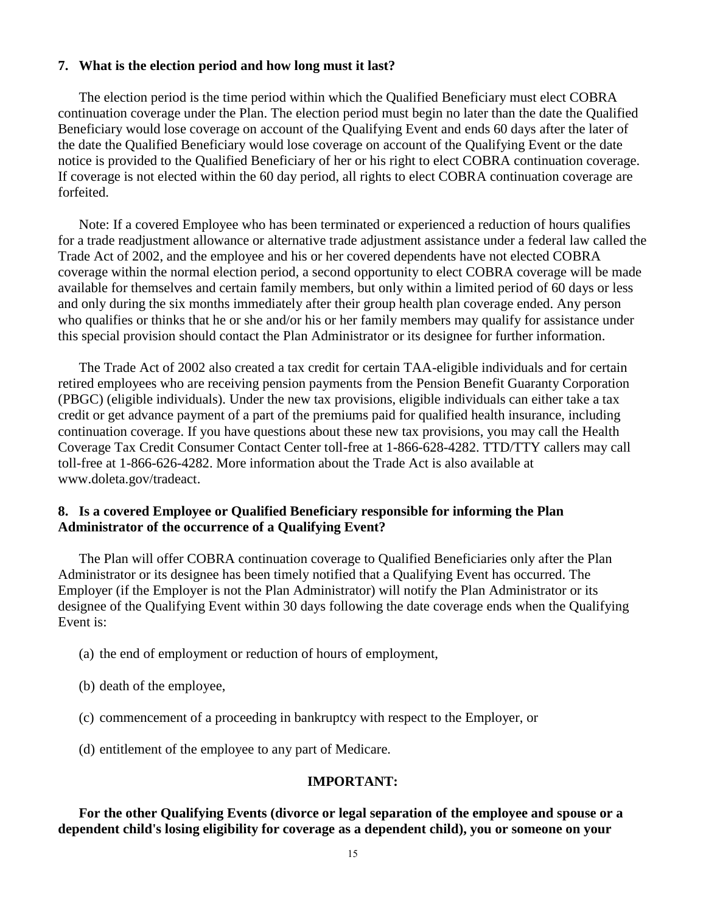### **7. What is the election period and how long must it last?**

The election period is the time period within which the Qualified Beneficiary must elect COBRA continuation coverage under the Plan. The election period must begin no later than the date the Qualified Beneficiary would lose coverage on account of the Qualifying Event and ends 60 days after the later of the date the Qualified Beneficiary would lose coverage on account of the Qualifying Event or the date notice is provided to the Qualified Beneficiary of her or his right to elect COBRA continuation coverage. If coverage is not elected within the 60 day period, all rights to elect COBRA continuation coverage are forfeited.

Note: If a covered Employee who has been terminated or experienced a reduction of hours qualifies for a trade readjustment allowance or alternative trade adjustment assistance under a federal law called the Trade Act of 2002, and the employee and his or her covered dependents have not elected COBRA coverage within the normal election period, a second opportunity to elect COBRA coverage will be made available for themselves and certain family members, but only within a limited period of 60 days or less and only during the six months immediately after their group health plan coverage ended. Any person who qualifies or thinks that he or she and/or his or her family members may qualify for assistance under this special provision should contact the Plan Administrator or its designee for further information.

The Trade Act of 2002 also created a tax credit for certain TAA-eligible individuals and for certain retired employees who are receiving pension payments from the Pension Benefit Guaranty Corporation (PBGC) (eligible individuals). Under the new tax provisions, eligible individuals can either take a tax credit or get advance payment of a part of the premiums paid for qualified health insurance, including continuation coverage. If you have questions about these new tax provisions, you may call the Health Coverage Tax Credit Consumer Contact Center toll-free at 1-866-628-4282. TTD/TTY callers may call toll-free at 1-866-626-4282. More information about the Trade Act is also available at www.doleta.gov/tradeact.

# **8. Is a covered Employee or Qualified Beneficiary responsible for informing the Plan Administrator of the occurrence of a Qualifying Event?**

The Plan will offer COBRA continuation coverage to Qualified Beneficiaries only after the Plan Administrator or its designee has been timely notified that a Qualifying Event has occurred. The Employer (if the Employer is not the Plan Administrator) will notify the Plan Administrator or its designee of the Qualifying Event within 30 days following the date coverage ends when the Qualifying Event is:

- (a) the end of employment or reduction of hours of employment,
- (b) death of the employee,
- (c) commencement of a proceeding in bankruptcy with respect to the Employer, or
- (d) entitlement of the employee to any part of Medicare.

# **IMPORTANT:**

**For the other Qualifying Events (divorce or legal separation of the employee and spouse or a dependent child's losing eligibility for coverage as a dependent child), you or someone on your**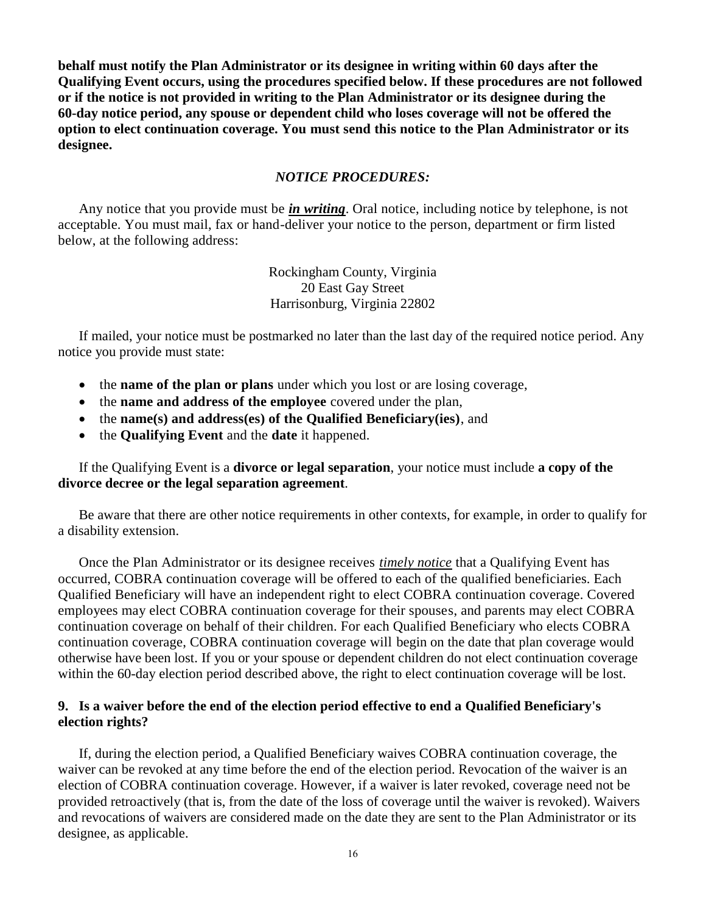**behalf must notify the Plan Administrator or its designee in writing within 60 days after the Qualifying Event occurs, using the procedures specified below. If these procedures are not followed or if the notice is not provided in writing to the Plan Administrator or its designee during the 60-day notice period, any spouse or dependent child who loses coverage will not be offered the option to elect continuation coverage. You must send this notice to the Plan Administrator or its designee.**

# *NOTICE PROCEDURES:*

Any notice that you provide must be *in writing*. Oral notice, including notice by telephone, is not acceptable. You must mail, fax or hand-deliver your notice to the person, department or firm listed below, at the following address:

> Rockingham County, Virginia 20 East Gay Street Harrisonburg, Virginia 22802

If mailed, your notice must be postmarked no later than the last day of the required notice period. Any notice you provide must state:

- the **name of the plan or plans** under which you lost or are losing coverage,
- the **name and address of the employee** covered under the plan,
- the **name(s) and address(es) of the Qualified Beneficiary(ies)**, and
- the **Qualifying Event** and the **date** it happened.

If the Qualifying Event is a **divorce or legal separation**, your notice must include **a copy of the divorce decree or the legal separation agreement**.

Be aware that there are other notice requirements in other contexts, for example, in order to qualify for a disability extension.

Once the Plan Administrator or its designee receives *timely notice* that a Qualifying Event has occurred, COBRA continuation coverage will be offered to each of the qualified beneficiaries. Each Qualified Beneficiary will have an independent right to elect COBRA continuation coverage. Covered employees may elect COBRA continuation coverage for their spouses, and parents may elect COBRA continuation coverage on behalf of their children. For each Qualified Beneficiary who elects COBRA continuation coverage, COBRA continuation coverage will begin on the date that plan coverage would otherwise have been lost. If you or your spouse or dependent children do not elect continuation coverage within the 60-day election period described above, the right to elect continuation coverage will be lost.

# **9. Is a waiver before the end of the election period effective to end a Qualified Beneficiary's election rights?**

If, during the election period, a Qualified Beneficiary waives COBRA continuation coverage, the waiver can be revoked at any time before the end of the election period. Revocation of the waiver is an election of COBRA continuation coverage. However, if a waiver is later revoked, coverage need not be provided retroactively (that is, from the date of the loss of coverage until the waiver is revoked). Waivers and revocations of waivers are considered made on the date they are sent to the Plan Administrator or its designee, as applicable.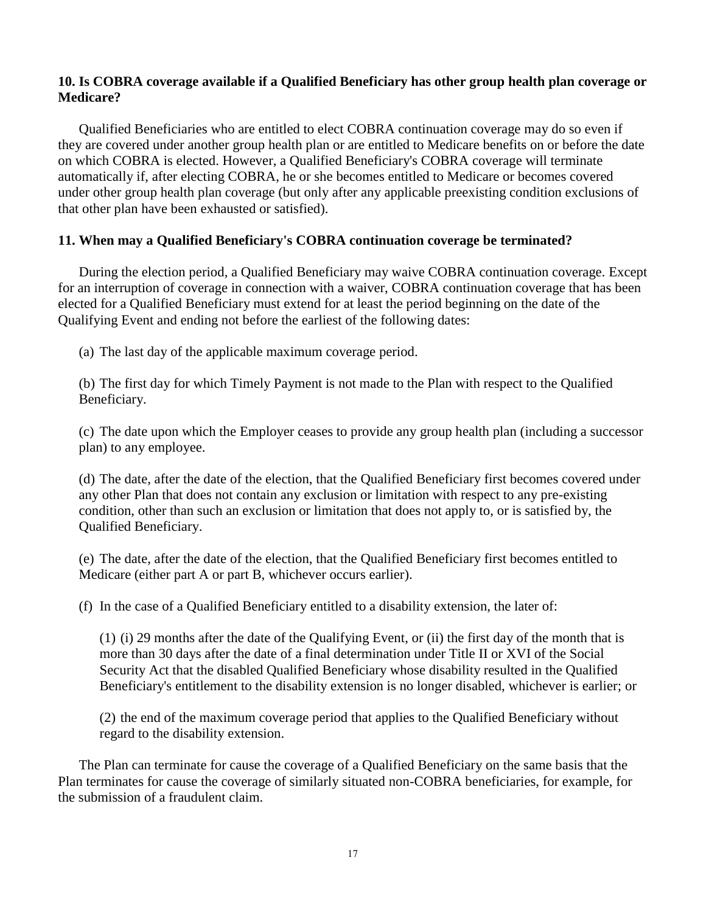# **10. Is COBRA coverage available if a Qualified Beneficiary has other group health plan coverage or Medicare?**

Qualified Beneficiaries who are entitled to elect COBRA continuation coverage may do so even if they are covered under another group health plan or are entitled to Medicare benefits on or before the date on which COBRA is elected. However, a Qualified Beneficiary's COBRA coverage will terminate automatically if, after electing COBRA, he or she becomes entitled to Medicare or becomes covered under other group health plan coverage (but only after any applicable preexisting condition exclusions of that other plan have been exhausted or satisfied).

# **11. When may a Qualified Beneficiary's COBRA continuation coverage be terminated?**

During the election period, a Qualified Beneficiary may waive COBRA continuation coverage. Except for an interruption of coverage in connection with a waiver, COBRA continuation coverage that has been elected for a Qualified Beneficiary must extend for at least the period beginning on the date of the Qualifying Event and ending not before the earliest of the following dates:

(a) The last day of the applicable maximum coverage period.

(b) The first day for which Timely Payment is not made to the Plan with respect to the Qualified Beneficiary.

(c) The date upon which the Employer ceases to provide any group health plan (including a successor plan) to any employee.

(d) The date, after the date of the election, that the Qualified Beneficiary first becomes covered under any other Plan that does not contain any exclusion or limitation with respect to any pre-existing condition, other than such an exclusion or limitation that does not apply to, or is satisfied by, the Qualified Beneficiary.

(e) The date, after the date of the election, that the Qualified Beneficiary first becomes entitled to Medicare (either part A or part B, whichever occurs earlier).

(f) In the case of a Qualified Beneficiary entitled to a disability extension, the later of:

(1) (i) 29 months after the date of the Qualifying Event, or (ii) the first day of the month that is more than 30 days after the date of a final determination under Title II or XVI of the Social Security Act that the disabled Qualified Beneficiary whose disability resulted in the Qualified Beneficiary's entitlement to the disability extension is no longer disabled, whichever is earlier; or

(2) the end of the maximum coverage period that applies to the Qualified Beneficiary without regard to the disability extension.

The Plan can terminate for cause the coverage of a Qualified Beneficiary on the same basis that the Plan terminates for cause the coverage of similarly situated non-COBRA beneficiaries, for example, for the submission of a fraudulent claim.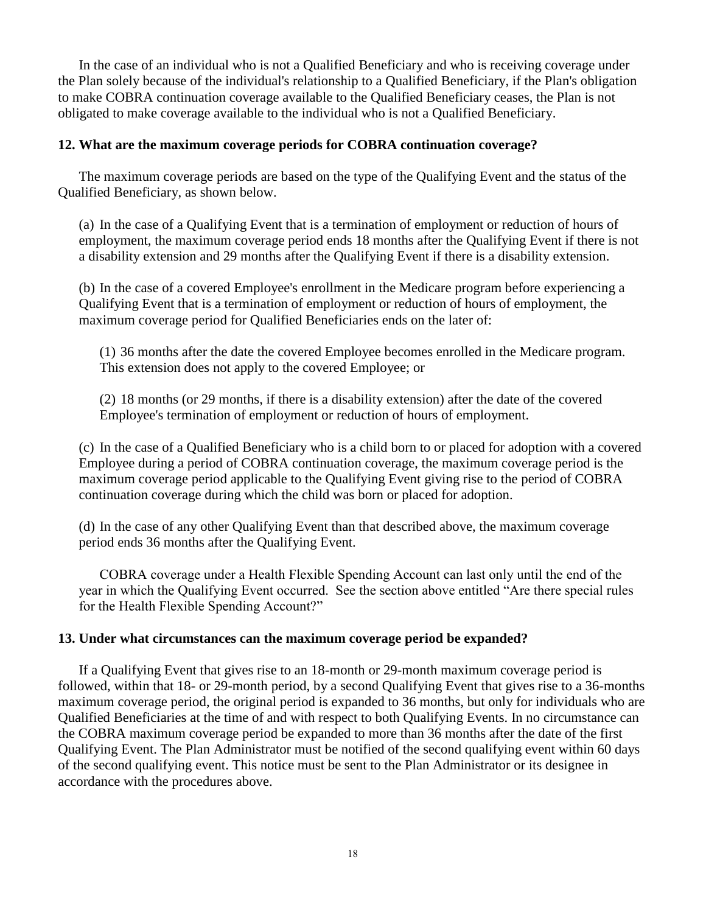In the case of an individual who is not a Qualified Beneficiary and who is receiving coverage under the Plan solely because of the individual's relationship to a Qualified Beneficiary, if the Plan's obligation to make COBRA continuation coverage available to the Qualified Beneficiary ceases, the Plan is not obligated to make coverage available to the individual who is not a Qualified Beneficiary.

# **12. What are the maximum coverage periods for COBRA continuation coverage?**

The maximum coverage periods are based on the type of the Qualifying Event and the status of the Qualified Beneficiary, as shown below.

(a) In the case of a Qualifying Event that is a termination of employment or reduction of hours of employment, the maximum coverage period ends 18 months after the Qualifying Event if there is not a disability extension and 29 months after the Qualifying Event if there is a disability extension.

(b) In the case of a covered Employee's enrollment in the Medicare program before experiencing a Qualifying Event that is a termination of employment or reduction of hours of employment, the maximum coverage period for Qualified Beneficiaries ends on the later of:

(1) 36 months after the date the covered Employee becomes enrolled in the Medicare program. This extension does not apply to the covered Employee; or

(2) 18 months (or 29 months, if there is a disability extension) after the date of the covered Employee's termination of employment or reduction of hours of employment.

(c) In the case of a Qualified Beneficiary who is a child born to or placed for adoption with a covered Employee during a period of COBRA continuation coverage, the maximum coverage period is the maximum coverage period applicable to the Qualifying Event giving rise to the period of COBRA continuation coverage during which the child was born or placed for adoption.

(d) In the case of any other Qualifying Event than that described above, the maximum coverage period ends 36 months after the Qualifying Event.

COBRA coverage under a Health Flexible Spending Account can last only until the end of the year in which the Qualifying Event occurred. See the section above entitled "Are there special rules for the Health Flexible Spending Account?"

### **13. Under what circumstances can the maximum coverage period be expanded?**

If a Qualifying Event that gives rise to an 18-month or 29-month maximum coverage period is followed, within that 18- or 29-month period, by a second Qualifying Event that gives rise to a 36-months maximum coverage period, the original period is expanded to 36 months, but only for individuals who are Qualified Beneficiaries at the time of and with respect to both Qualifying Events. In no circumstance can the COBRA maximum coverage period be expanded to more than 36 months after the date of the first Qualifying Event. The Plan Administrator must be notified of the second qualifying event within 60 days of the second qualifying event. This notice must be sent to the Plan Administrator or its designee in accordance with the procedures above.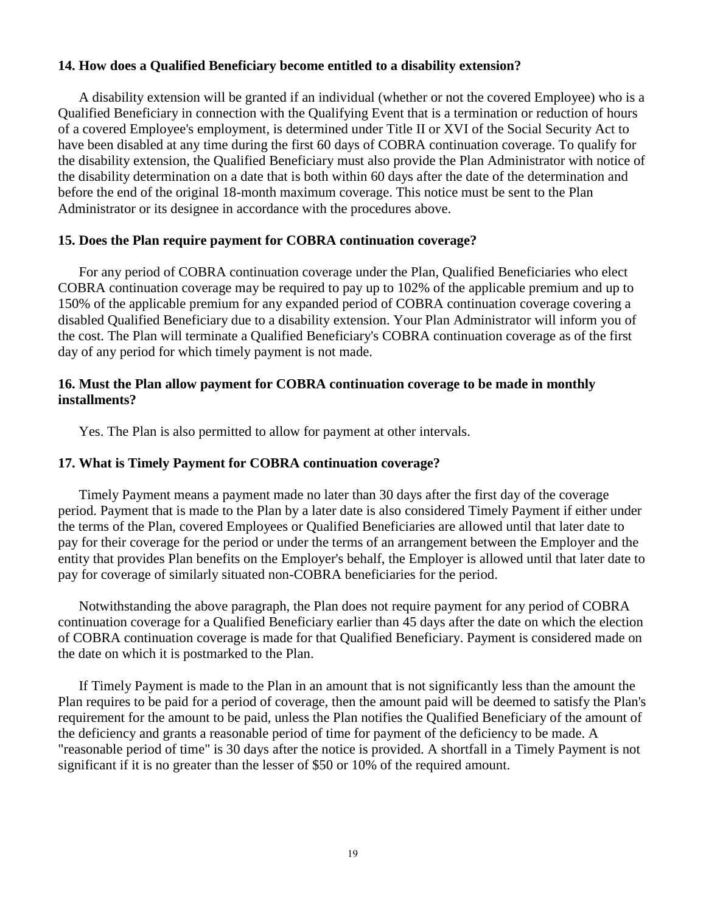# **14. How does a Qualified Beneficiary become entitled to a disability extension?**

A disability extension will be granted if an individual (whether or not the covered Employee) who is a Qualified Beneficiary in connection with the Qualifying Event that is a termination or reduction of hours of a covered Employee's employment, is determined under Title II or XVI of the Social Security Act to have been disabled at any time during the first 60 days of COBRA continuation coverage. To qualify for the disability extension, the Qualified Beneficiary must also provide the Plan Administrator with notice of the disability determination on a date that is both within 60 days after the date of the determination and before the end of the original 18-month maximum coverage. This notice must be sent to the Plan Administrator or its designee in accordance with the procedures above.

# **15. Does the Plan require payment for COBRA continuation coverage?**

For any period of COBRA continuation coverage under the Plan, Qualified Beneficiaries who elect COBRA continuation coverage may be required to pay up to 102% of the applicable premium and up to 150% of the applicable premium for any expanded period of COBRA continuation coverage covering a disabled Qualified Beneficiary due to a disability extension. Your Plan Administrator will inform you of the cost. The Plan will terminate a Qualified Beneficiary's COBRA continuation coverage as of the first day of any period for which timely payment is not made.

# **16. Must the Plan allow payment for COBRA continuation coverage to be made in monthly installments?**

Yes. The Plan is also permitted to allow for payment at other intervals.

# **17. What is Timely Payment for COBRA continuation coverage?**

Timely Payment means a payment made no later than 30 days after the first day of the coverage period. Payment that is made to the Plan by a later date is also considered Timely Payment if either under the terms of the Plan, covered Employees or Qualified Beneficiaries are allowed until that later date to pay for their coverage for the period or under the terms of an arrangement between the Employer and the entity that provides Plan benefits on the Employer's behalf, the Employer is allowed until that later date to pay for coverage of similarly situated non-COBRA beneficiaries for the period.

Notwithstanding the above paragraph, the Plan does not require payment for any period of COBRA continuation coverage for a Qualified Beneficiary earlier than 45 days after the date on which the election of COBRA continuation coverage is made for that Qualified Beneficiary. Payment is considered made on the date on which it is postmarked to the Plan.

If Timely Payment is made to the Plan in an amount that is not significantly less than the amount the Plan requires to be paid for a period of coverage, then the amount paid will be deemed to satisfy the Plan's requirement for the amount to be paid, unless the Plan notifies the Qualified Beneficiary of the amount of the deficiency and grants a reasonable period of time for payment of the deficiency to be made. A "reasonable period of time" is 30 days after the notice is provided. A shortfall in a Timely Payment is not significant if it is no greater than the lesser of \$50 or 10% of the required amount.